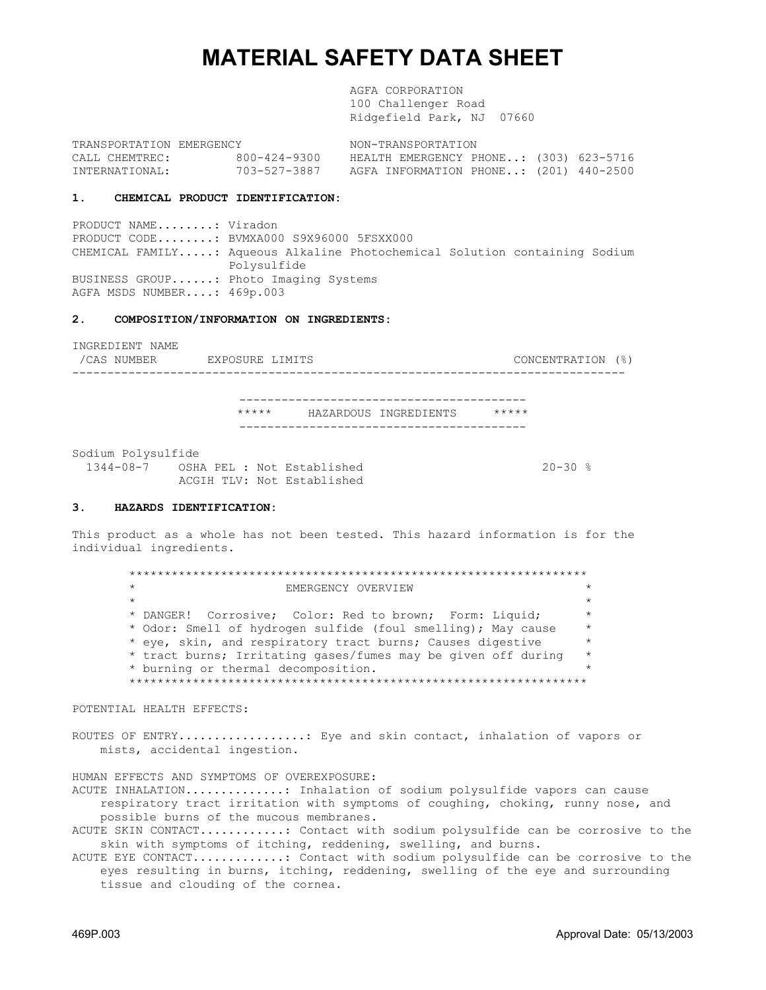# **MATERIAL SAFETY DATA SHEET**

 AGFA CORPORATION 100 Challenger Road Ridgefield Park, NJ 07660

TRANSPORTATION EMERGENCY NON-TRANSPORTATION CALL CHEMTREC: 800-424-9300 HEALTH EMERGENCY PHONE..: (303) 623-5716 INTERNATIONAL: 703-527-3887 AGFA INFORMATION PHONE..: (201) 440-2500

#### **1. CHEMICAL PRODUCT IDENTIFICATION:**

PRODUCT NAME........: Viradon PRODUCT CODE........: BVMXA000 S9X96000 5FSXX000 CHEMICAL FAMILY.....: Aqueous Alkaline Photochemical Solution containing Sodium Polysulfide BUSINESS GROUP......: Photo Imaging Systems AGFA MSDS NUMBER....: 469p.003

#### **2. COMPOSITION/INFORMATION ON INGREDIENTS:**

INGREDIENT NAME /CAS NUMBER EXPOSURE LIMITS CONCENTRATION (%) ------------------------------------------------------------------------------- ----------------------------------------- \*\*\*\*\* HAZARDOUS INGREDIENTS \*\*\*\*\* ----------------------------------------- Sodium Polysulfide 1344-08-7 OSHA PEL : Not Established 20-30 % ACGIH TLV: Not Established

#### **3. HAZARDS IDENTIFICATION:**

This product as a whole has not been tested. This hazard information is for the individual ingredients.

 \*\*\*\*\*\*\*\*\*\*\*\*\*\*\*\*\*\*\*\*\*\*\*\*\*\*\*\*\*\*\*\*\*\*\*\*\*\*\*\*\*\*\*\*\*\*\*\*\*\*\*\*\*\*\*\*\*\*\*\*\*\*\*\*\* EMERGENCY OVERVIEW  $\star$  \*  $\star$  \*  $\star$  \*  $\star$  \*  $\star$  \*  $\star$  \*  $\star$  \*  $\star$  \*  $\star$  \*  $\star$  \*  $\star$  \*  $\star$  \*  $\star$  \*  $\star$  \*  $\star$  \*  $\star$  \*  $\star$  \*  $\star$  \*  $\star$  \*  $\star$  \*  $\star$  \*  $\star$  \*  $\star$  \*  $\star$  \*  $\star$  \*  $\star$  \*  $\star$  \*  $\star$  \*  $\star$  \*  $\star$  \*  $\star$  \*  $\star$  \* DANGER! Corrosive; Color: Red to brown; Form: Liquid; \* \* Odor: Smell of hydrogen sulfide (foul smelling); May cause \* \* eye, skin, and respiratory tract burns; Causes digestive \* \* tract burns; Irritating gases/fumes may be given off during \* \* burning or thermal decomposition. \* \*\*\*\*\*\*\*\*\*\*\*\*\*\*\*\*\*\*\*\*\*\*\*\*\*\*\*\*\*\*\*\*\*\*\*\*\*\*\*\*\*\*\*\*\*\*\*\*\*\*\*\*\*\*\*\*\*\*\*\*\*\*\*\*\*

POTENTIAL HEALTH EFFECTS:

ROUTES OF ENTRY..................: Eye and skin contact, inhalation of vapors or mists, accidental ingestion.

HUMAN EFFECTS AND SYMPTOMS OF OVEREXPOSURE: ACUTE INHALATION..............: Inhalation of sodium polysulfide vapors can cause respiratory tract irritation with symptoms of coughing, choking, runny nose, and possible burns of the mucous membranes.

ACUTE SKIN CONTACT............: Contact with sodium polysulfide can be corrosive to the skin with symptoms of itching, reddening, swelling, and burns.

ACUTE EYE CONTACT.............: Contact with sodium polysulfide can be corrosive to the eyes resulting in burns, itching, reddening, swelling of the eye and surrounding tissue and clouding of the cornea.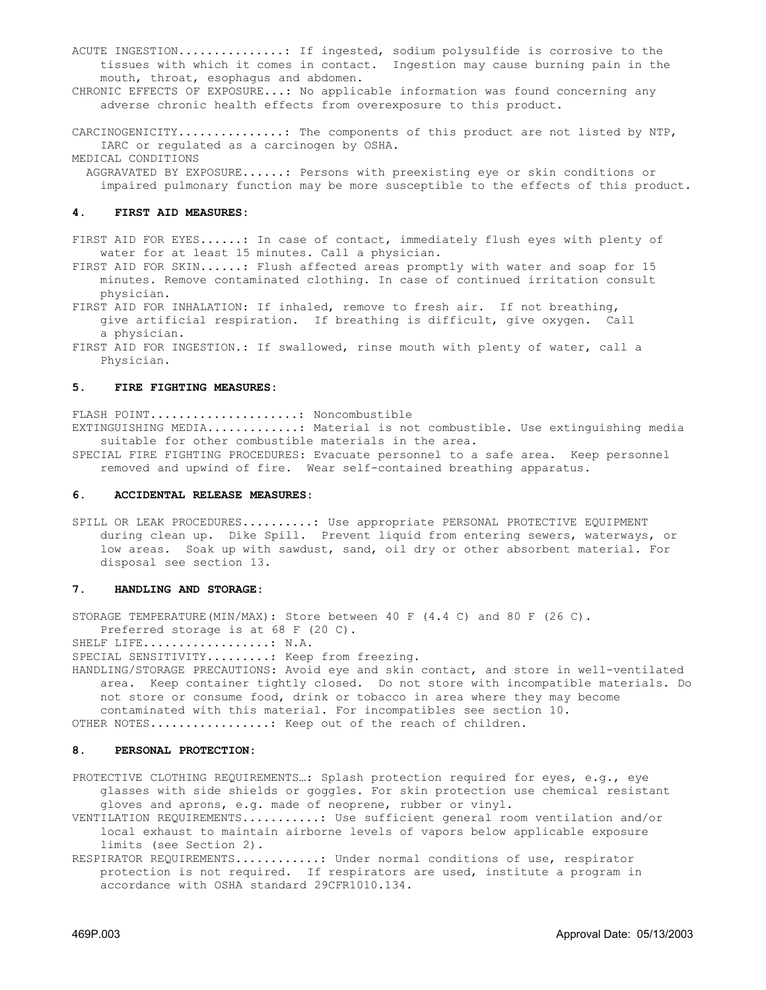ACUTE INGESTION...............: If ingested, sodium polysulfide is corrosive to the tissues with which it comes in contact. Ingestion may cause burning pain in the mouth, throat, esophagus and abdomen.

CHRONIC EFFECTS OF EXPOSURE...: No applicable information was found concerning any adverse chronic health effects from overexposure to this product.

CARCINOGENICITY...............: The components of this product are not listed by NTP, IARC or regulated as a carcinogen by OSHA. MEDICAL CONDITIONS

 AGGRAVATED BY EXPOSURE......: Persons with preexisting eye or skin conditions or impaired pulmonary function may be more susceptible to the effects of this product.

#### **4. FIRST AID MEASURES:**

FIRST AID FOR EYES......: In case of contact, immediately flush eyes with plenty of water for at least 15 minutes. Call a physician.

FIRST AID FOR SKIN......: Flush affected areas promptly with water and soap for 15 minutes. Remove contaminated clothing. In case of continued irritation consult physician.

FIRST AID FOR INHALATION: If inhaled, remove to fresh air. If not breathing, give artificial respiration. If breathing is difficult, give oxygen. Call a physician.

FIRST AID FOR INGESTION.: If swallowed, rinse mouth with plenty of water, call a Physician.

#### **5. FIRE FIGHTING MEASURES:**

FLASH POINT.....................: Noncombustible

EXTINGUISHING MEDIA.............: Material is not combustible. Use extinguishing media suitable for other combustible materials in the area.

SPECIAL FIRE FIGHTING PROCEDURES: Evacuate personnel to a safe area. Keep personnel removed and upwind of fire. Wear self-contained breathing apparatus.

#### **6. ACCIDENTAL RELEASE MEASURES:**

SPILL OR LEAK PROCEDURES..........: Use appropriate PERSONAL PROTECTIVE EQUIPMENT during clean up. Dike Spill. Prevent liquid from entering sewers, waterways, or low areas. Soak up with sawdust, sand, oil dry or other absorbent material. For disposal see section 13.

#### **7. HANDLING AND STORAGE:**

STORAGE TEMPERATURE(MIN/MAX): Store between 40 F (4.4 C) and 80 F (26 C). Preferred storage is at 68 F (20 C).

SHELF LIFE..................: N.A.

SPECIAL SENSITIVITY........: Keep from freezing.

HANDLING/STORAGE PRECAUTIONS: Avoid eye and skin contact, and store in well-ventilated area. Keep container tightly closed. Do not store with incompatible materials. Do not store or consume food, drink or tobacco in area where they may become contaminated with this material. For incompatibles see section 10.

OTHER NOTES.................: Keep out of the reach of children.

### **8. PERSONAL PROTECTION:**

PROTECTIVE CLOTHING REQUIREMENTS...: Splash protection required for eyes, e.g., eye glasses with side shields or goggles. For skin protection use chemical resistant gloves and aprons, e.g. made of neoprene, rubber or vinyl.

VENTILATION REQUIREMENTS...........: Use sufficient general room ventilation and/or local exhaust to maintain airborne levels of vapors below applicable exposure limits (see Section 2).

RESPIRATOR REQUIREMENTS............: Under normal conditions of use, respirator protection is not required. If respirators are used, institute a program in accordance with OSHA standard 29CFR1010.134.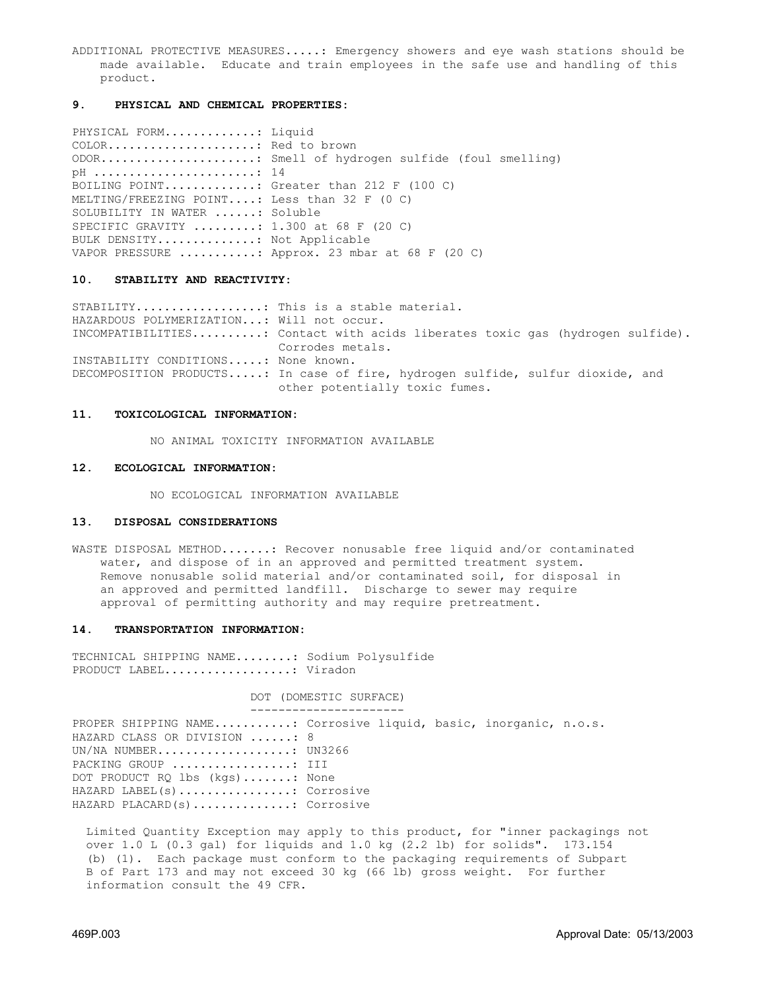ADDITIONAL PROTECTIVE MEASURES.....: Emergency showers and eye wash stations should be made available. Educate and train employees in the safe use and handling of this product.

#### **9. PHYSICAL AND CHEMICAL PROPERTIES:**

PHYSICAL FORM.............: Liquid COLOR.....................: Red to brown ODOR......................: Smell of hydrogen sulfide (foul smelling) pH .......................: 14 BOILING POINT.............: Greater than 212 F (100 C) MELTING/FREEZING POINT....: Less than 32 F (0 C) SOLUBILITY IN WATER ......: Soluble SPECIFIC GRAVITY .........: 1.300 at 68 F (20 C) BULK DENSITY..............: Not Applicable VAPOR PRESSURE ...........: Approx. 23 mbar at 68 F (20 C)

#### **10. STABILITY AND REACTIVITY:**

STABILITY..................: This is a stable material. HAZARDOUS POLYMERIZATION...: Will not occur. INCOMPATIBILITIES..........: Contact with acids liberates toxic gas (hydrogen sulfide). Corrodes metals. INSTABILITY CONDITIONS.....: None known. DECOMPOSITION PRODUCTS.....: In case of fire, hydrogen sulfide, sulfur dioxide, and other potentially toxic fumes.

#### **11. TOXICOLOGICAL INFORMATION:**

NO ANIMAL TOXICITY INFORMATION AVAILABLE

#### **12. ECOLOGICAL INFORMATION:**

NO ECOLOGICAL INFORMATION AVAILABLE

#### **13. DISPOSAL CONSIDERATIONS**

WASTE DISPOSAL METHOD.......: Recover nonusable free liquid and/or contaminated water, and dispose of in an approved and permitted treatment system. Remove nonusable solid material and/or contaminated soil, for disposal in an approved and permitted landfill. Discharge to sewer may require approval of permitting authority and may require pretreatment.

#### **14. TRANSPORTATION INFORMATION:**

TECHNICAL SHIPPING NAME........: Sodium Polysulfide PRODUCT LABEL.................... Viradon

> DOT (DOMESTIC SURFACE) ----------------------

PROPER SHIPPING NAME...........: Corrosive liquid, basic, inorganic, n.o.s. HAZARD CLASS OR DIVISION ......: 8 UN/NA NUMBER....................... UN3266 PACKING GROUP ..................: III DOT PRODUCT RQ lbs (kgs).......: None HAZARD LABEL(s)................: Corrosive HAZARD PLACARD(s)..............: Corrosive

 Limited Quantity Exception may apply to this product, for "inner packagings not over 1.0 L (0.3 gal) for liquids and 1.0 kg (2.2 lb) for solids". 173.154 (b) (1). Each package must conform to the packaging requirements of Subpart B of Part 173 and may not exceed 30 kg (66 lb) gross weight. For further information consult the 49 CFR.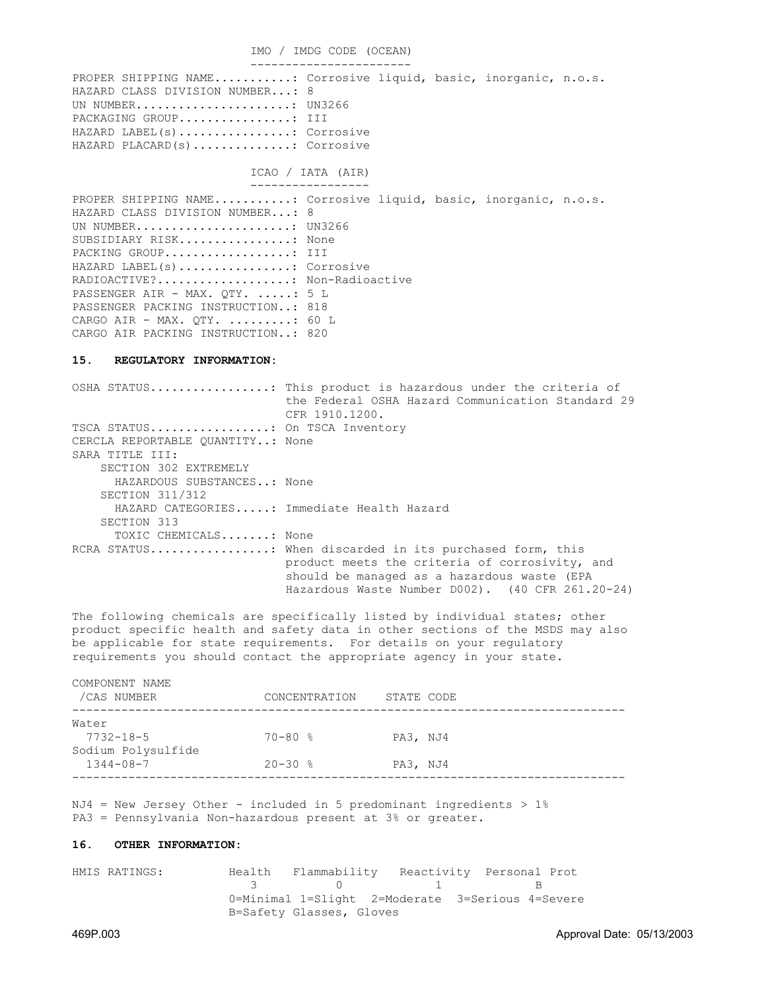IMO / IMDG CODE (OCEAN) ----------------------- PROPER SHIPPING NAME..........: Corrosive liquid, basic, inorganic, n.o.s. HAZARD CLASS DIVISION NUMBER...: 8 UN NUMBER.......................... UN3266 PACKAGING GROUP................... III

HAZARD LABEL(s)................: Corrosive HAZARD PLACARD(s)..............: Corrosive

## ICAO / IATA (AIR)

 ----------------- PROPER SHIPPING NAME...........: Corrosive liquid, basic, inorganic, n.o.s. HAZARD CLASS DIVISION NUMBER...: 8 UN NUMBER.......................... UN3266 SUBSIDIARY RISK................: None PACKING GROUP..................... III HAZARD LABEL(s)................: Corrosive RADIOACTIVE?......................... Non-Radioactive PASSENGER AIR - MAX. QTY. .....: 5 L PASSENGER PACKING INSTRUCTION..: 818 CARGO AIR - MAX. OTY.  $\ldots \ldots \ldots$ : 60 L CARGO AIR PACKING INSTRUCTION..: 820

#### **15. REGULATORY INFORMATION:**

OSHA STATUS.................: This product is hazardous under the criteria of the Federal OSHA Hazard Communication Standard 29 CFR 1910.1200. TSCA STATUS..................... On TSCA Inventory CERCLA REPORTABLE QUANTITY..: None SARA TITLE III: SECTION 302 EXTREMELY HAZARDOUS SUBSTANCES..: None SECTION 311/312 HAZARD CATEGORIES.....: Immediate Health Hazard SECTION 313 TOXIC CHEMICALS.......: None RCRA STATUS.................: When discarded in its purchased form, this product meets the criteria of corrosivity, and should be managed as a hazardous waste (EPA Hazardous Waste Number D002). (40 CFR 261.20-24)

The following chemicals are specifically listed by individual states; other product specific health and safety data in other sections of the MSDS may also be applicable for state requirements. For details on your regulatory requirements you should contact the appropriate agency in your state.

| COMPONENT NAME<br>/CAS NUMBER         | CONCENTRATION | STATE CODE |  |
|---------------------------------------|---------------|------------|--|
| Water<br>$7732 - 18 - 5$              | $70 - 80$ %   | PA3, NJ4   |  |
| Sodium Polysulfide<br>$1344 - 08 - 7$ | $20 - 30$ %   | PA3, NJ4   |  |

 $NJA = New Jersey Other - included in 5 predominant ingredients > 1%$ PA3 = Pennsylvania Non-hazardous present at 3% or greater.

#### **16. OTHER INFORMATION:**

HMIS RATINGS: Health Flammability Reactivity Personal Prot **3** 0 1 B 0=Minimal 1=Slight 2=Moderate 3=Serious 4=Severe B=Safety Glasses, Gloves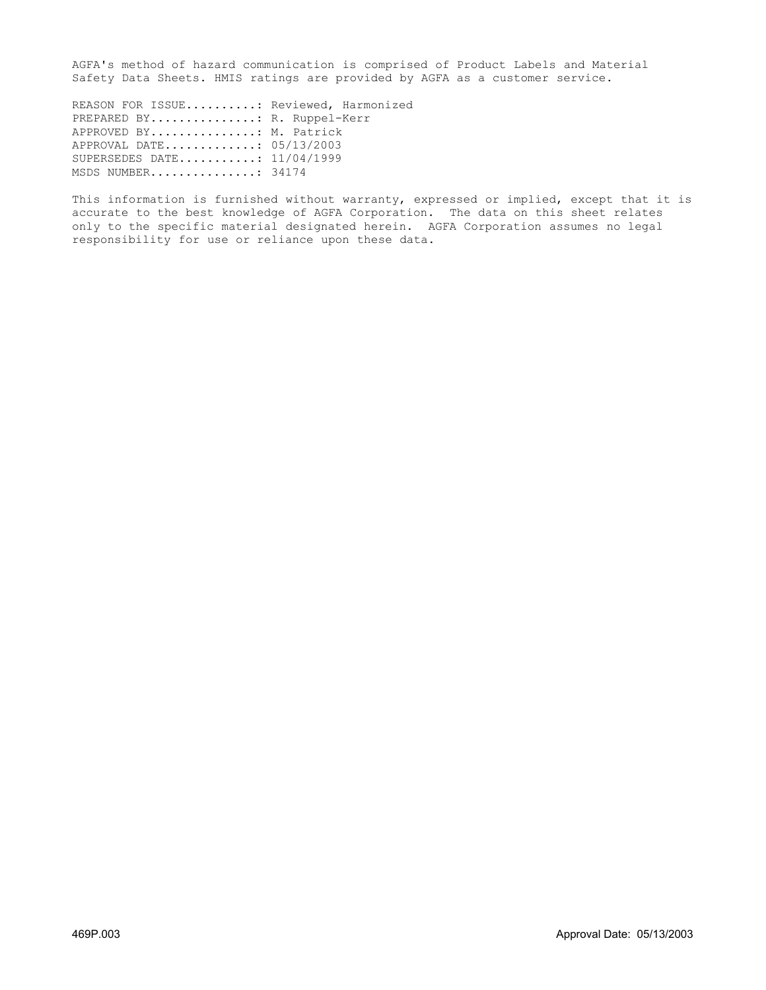AGFA's method of hazard communication is comprised of Product Labels and Material Safety Data Sheets. HMIS ratings are provided by AGFA as a customer service.

REASON FOR ISSUE..........: Reviewed, Harmonized PREPARED BY............... R. Ruppel-Kerr APPROVED BY...............: M. Patrick APPROVAL DATE.............: 05/13/2003 SUPERSEDES DATE...........: 11/04/1999 MSDS NUMBER...............: 34174

This information is furnished without warranty, expressed or implied, except that it is accurate to the best knowledge of AGFA Corporation. The data on this sheet relates only to the specific material designated herein. AGFA Corporation assumes no legal responsibility for use or reliance upon these data.